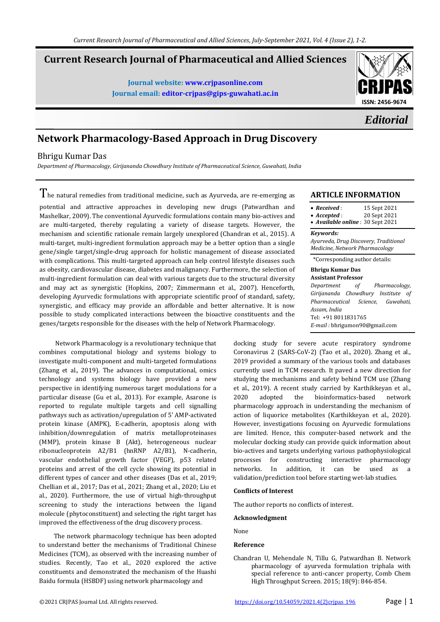# **Current Research Journal of Pharmaceutical and Allied Sciences**

**Journal website[: www.crjpasonline.com](about:blank) Journal email: [editor-crjpas@gips-guwahati.ac.in](about:blank)**



*Editorial*

# **Network Pharmacology-Based Approach in Drug Discovery**

## Bhrigu Kumar Das

*Department of Pharmacology, Girijananda Chowdhury Institute of Pharmaceutical Science, Guwahati, India*

The natural remedies from traditional medicine, such as Ayurveda, are re-emerging as potential and attractive approaches in developing new drugs (Patwardhan and Mashelkar, 2009). The conventional Ayurvedic formulations contain many bio-actives and are multi-targeted, thereby regulating a variety of disease targets. However, the mechanism and scientific rationale remain largely unexplored (Chandran et al., 2015). A multi-target, multi-ingredient formulation approach may be a better option than a single gene/single target/single-drug approach for holistic management of disease associated with complications. This multi-targeted approach can help control lifestyle diseases such as obesity, cardiovascular disease, diabetes and malignancy. Furthermore, the selection of multi-ingredient formulation can deal with various targets due to the structural diversity and may act as synergistic (Hopkins, 2007; Zimmermann et al., 2007). Henceforth, developing Ayurvedic formulations with appropriate scientific proof of standard, safety, synergistic, and efficacy may provide an affordable and better alternative. It is now possible to study complicated interactions between the bioactive constituents and the genes/targets responsible for the diseases with the help of Network Pharmacology.

 Network Pharmacology is a revolutionary technique that combines computational biology and systems biology to investigate multi-component and multi-targeted formulations (Zhang et al., 2019). The advances in computational, omics technology and systems biology have provided a new perspective in identifying numerous target modulations for a particular disease (Gu et al., 2013). For example, Asarone is reported to regulate multiple targets and cell signalling pathways such as activation/upregulation of 5' AMP-activated protein kinase (AMPK), E-cadherin, apoptosis along with inhibition/downregulation of matrix metalloproteinases (MMP), protein kinase B (Akt), heterogeneous nuclear ribonucleoprotein A2/B1 (hnRNP A2/B1), N-cadherin, vascular endothelial growth factor (VEGF), p53 related proteins and arrest of the cell cycle showing its potential in different types of cancer and other diseases (Das et al., 2019; Chellian et al., 2017; Das et al., 2021; Zhang et al., 2020; Liu et al., 2020). Furthermore, the use of virtual high-throughput screening to study the interactions between the ligand molecule (phytoconstituent) and selecting the right target has improved the effectiveness of the drug discovery process.

 The network pharmacology technique has been adopted to understand better the mechanisms of Traditional Chinese Medicines (TCM), as observed with the increasing number of studies. Recently, Tao et al., 2020 explored the active constituents and demonstrated the mechanism of the Huashi Baidu formula (HSBDF) using network pharmacology and

### **ARTICLE INFORMATION**

| $\bullet$ Received:              | 15 Sept 2021 |
|----------------------------------|--------------|
| $\bullet$ Accepted :             | 20 Sept 2021 |
| • Available online: 30 Sept 2021 |              |

#### *Keywords:*

*Ayurveda, Drug Discovery, Traditional Medicine, Network Pharmacology*

\*Corresponding author details:

## **Bhrigu Kumar Das**

| <b>Assistant Professor</b>    |  |                                    |
|-------------------------------|--|------------------------------------|
|                               |  | Department of Pharmacology,        |
|                               |  | Girijananda Chowdhury Institute of |
|                               |  | Pharmaceutical Science, Guwahati,  |
| Assam. India                  |  |                                    |
| Tel: +91 8011831765           |  |                                    |
| E-mail: bhrigumon90@gmail.com |  |                                    |

docking study for severe acute respiratory syndrome Coronavirus 2 (SARS-CoV-2) (Tao et al., 2020). Zhang et al., 2019 provided a summary of the various tools and databases currently used in TCM research. It paved a new direction for studying the mechanisms and safety behind TCM use (Zhang et al., 2019). A recent study carried by Karthikkeyan et al., 2020 adopted the bioinformatics-based network pharmacology approach in understanding the mechanism of action of liquorice metabolites (Karthikkeyan et al., 2020). However, investigations focusing on Ayurvedic formulations are limited. Hence, this computer-based network and the molecular docking study can provide quick information about bio-actives and targets underlying various pathophysiological processes for constructing interactive pharmacology networks. In addition, it can be used as a validation/prediction tool before starting wet-lab studies.

### **Conflicts of Interest**

The author reports no conflicts of interest.

### **Acknowledgment**

None

### **Reference**

Chandran U, Mehendale N, Tillu G, Patwardhan B. Network pharmacology of ayurveda formulation triphala with special reference to anti-cancer property, Comb Chem High Throughput Screen. 2015; 18(9): 846-854.